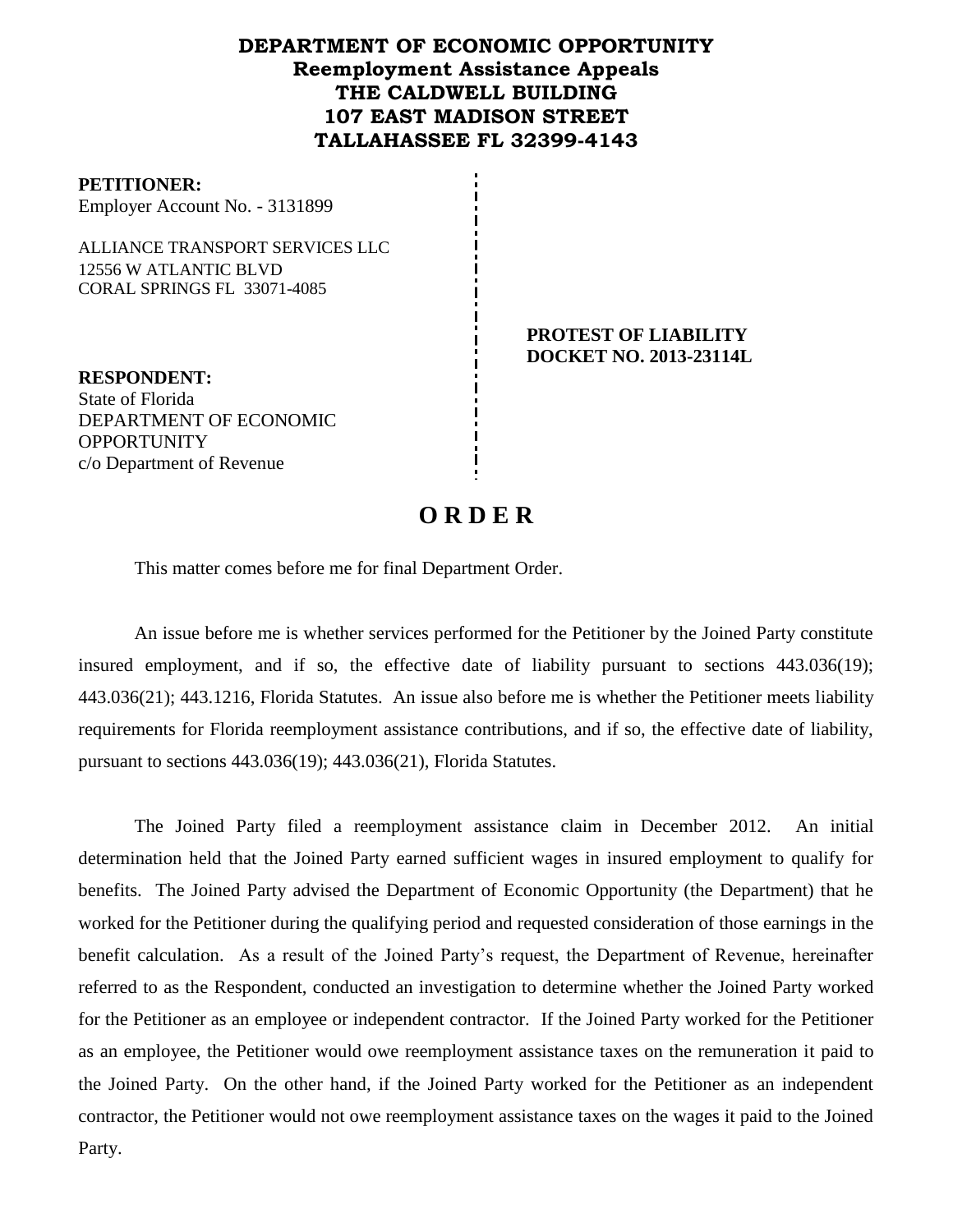## **DEPARTMENT OF ECONOMIC OPPORTUNITY Reemployment Assistance Appeals THE CALDWELL BUILDING 107 EAST MADISON STREET TALLAHASSEE FL 32399-4143**

#### **PETITIONER:**

Employer Account No. - 3131899

ALLIANCE TRANSPORT SERVICES LLC 12556 W ATLANTIC BLVD CORAL SPRINGS FL 33071-4085

> **PROTEST OF LIABILITY DOCKET NO. 2013-23114L**

**RESPONDENT:** State of Florida DEPARTMENT OF ECONOMIC **OPPORTUNITY** c/o Department of Revenue

# **O R D E R**

This matter comes before me for final Department Order.

An issue before me is whether services performed for the Petitioner by the Joined Party constitute insured employment, and if so, the effective date of liability pursuant to sections 443.036(19); 443.036(21); 443.1216, Florida Statutes. An issue also before me is whether the Petitioner meets liability requirements for Florida reemployment assistance contributions, and if so, the effective date of liability, pursuant to sections 443.036(19); 443.036(21), Florida Statutes.

The Joined Party filed a reemployment assistance claim in December 2012.An initial determination held that the Joined Party earned sufficient wages in insured employment to qualify for benefits. The Joined Party advised the Department of Economic Opportunity (the Department) that he worked for the Petitioner during the qualifying period and requested consideration of those earnings in the benefit calculation. As a result of the Joined Party's request, the Department of Revenue, hereinafter referred to as the Respondent, conducted an investigation to determine whether the Joined Party worked for the Petitioner as an employee or independent contractor. If the Joined Party worked for the Petitioner as an employee, the Petitioner would owe reemployment assistance taxes on the remuneration it paid to the Joined Party. On the other hand, if the Joined Party worked for the Petitioner as an independent contractor, the Petitioner would not owe reemployment assistance taxes on the wages it paid to the Joined Party.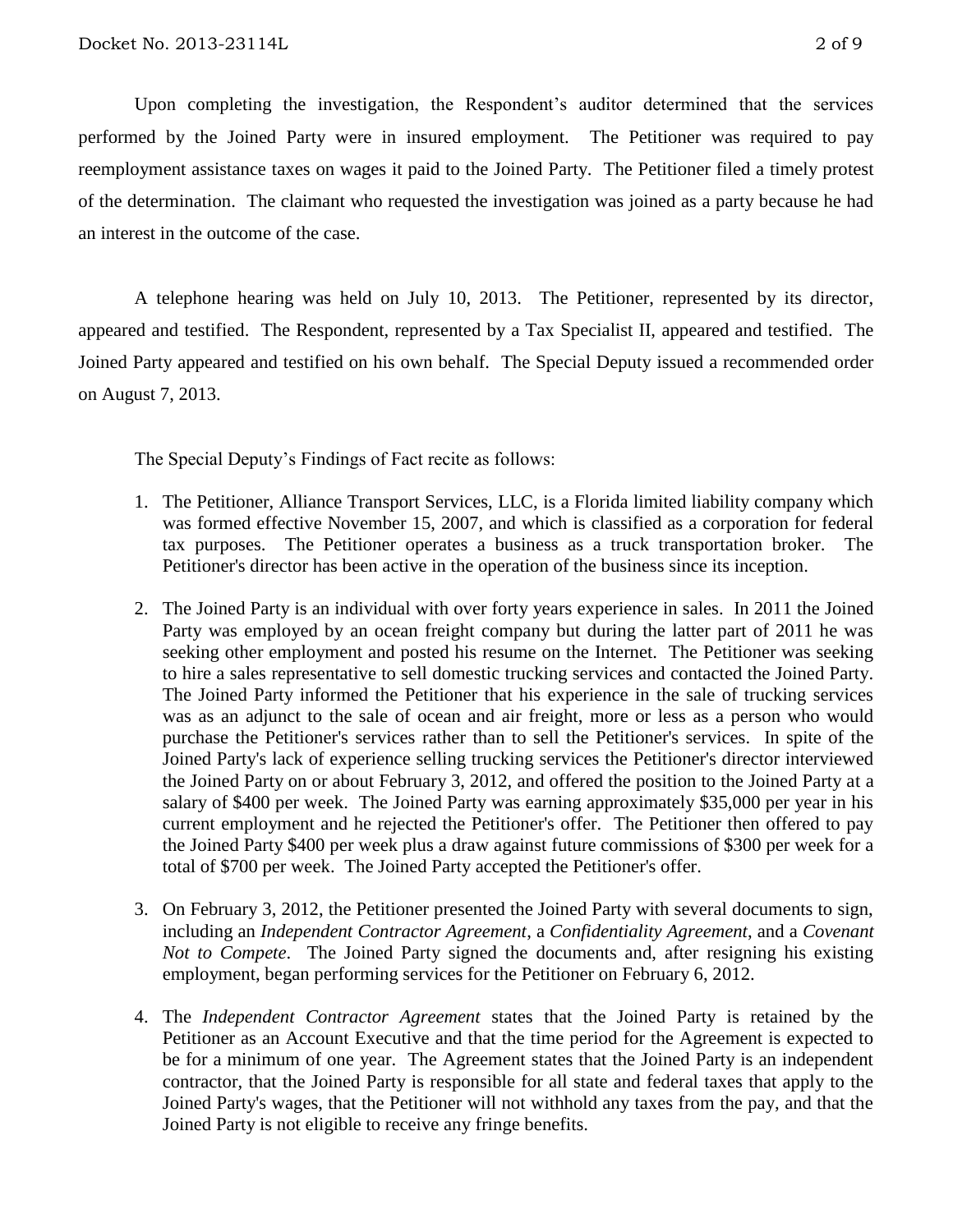Upon completing the investigation, the Respondent's auditor determined that the services performed by the Joined Party were in insured employment. The Petitioner was required to pay reemployment assistance taxes on wages it paid to the Joined Party.The Petitioner filed a timely protest of the determination.The claimant who requested the investigation was joined as a party because he had an interest in the outcome of the case.

A telephone hearing was held on July 10, 2013.The Petitioner, represented by its director, appeared and testified. The Respondent, represented by a Tax Specialist II, appeared and testified. The Joined Party appeared and testified on his own behalf. The Special Deputy issued a recommended order on August 7, 2013.

The Special Deputy's Findings of Fact recite as follows:

- 1. The Petitioner, Alliance Transport Services, LLC, is a Florida limited liability company which was formed effective November 15, 2007, and which is classified as a corporation for federal tax purposes. The Petitioner operates a business as a truck transportation broker. The Petitioner's director has been active in the operation of the business since its inception.
- 2. The Joined Party is an individual with over forty years experience in sales. In 2011 the Joined Party was employed by an ocean freight company but during the latter part of 2011 he was seeking other employment and posted his resume on the Internet. The Petitioner was seeking to hire a sales representative to sell domestic trucking services and contacted the Joined Party. The Joined Party informed the Petitioner that his experience in the sale of trucking services was as an adjunct to the sale of ocean and air freight, more or less as a person who would purchase the Petitioner's services rather than to sell the Petitioner's services. In spite of the Joined Party's lack of experience selling trucking services the Petitioner's director interviewed the Joined Party on or about February 3, 2012, and offered the position to the Joined Party at a salary of \$400 per week. The Joined Party was earning approximately \$35,000 per year in his current employment and he rejected the Petitioner's offer. The Petitioner then offered to pay the Joined Party \$400 per week plus a draw against future commissions of \$300 per week for a total of \$700 per week. The Joined Party accepted the Petitioner's offer.
- 3. On February 3, 2012, the Petitioner presented the Joined Party with several documents to sign, including an *Independent Contractor Agreement*, a *Confidentiality Agreement*, and a *Covenant Not to Compete*. The Joined Party signed the documents and, after resigning his existing employment, began performing services for the Petitioner on February 6, 2012.
- 4. The *Independent Contractor Agreement* states that the Joined Party is retained by the Petitioner as an Account Executive and that the time period for the Agreement is expected to be for a minimum of one year. The Agreement states that the Joined Party is an independent contractor, that the Joined Party is responsible for all state and federal taxes that apply to the Joined Party's wages, that the Petitioner will not withhold any taxes from the pay, and that the Joined Party is not eligible to receive any fringe benefits.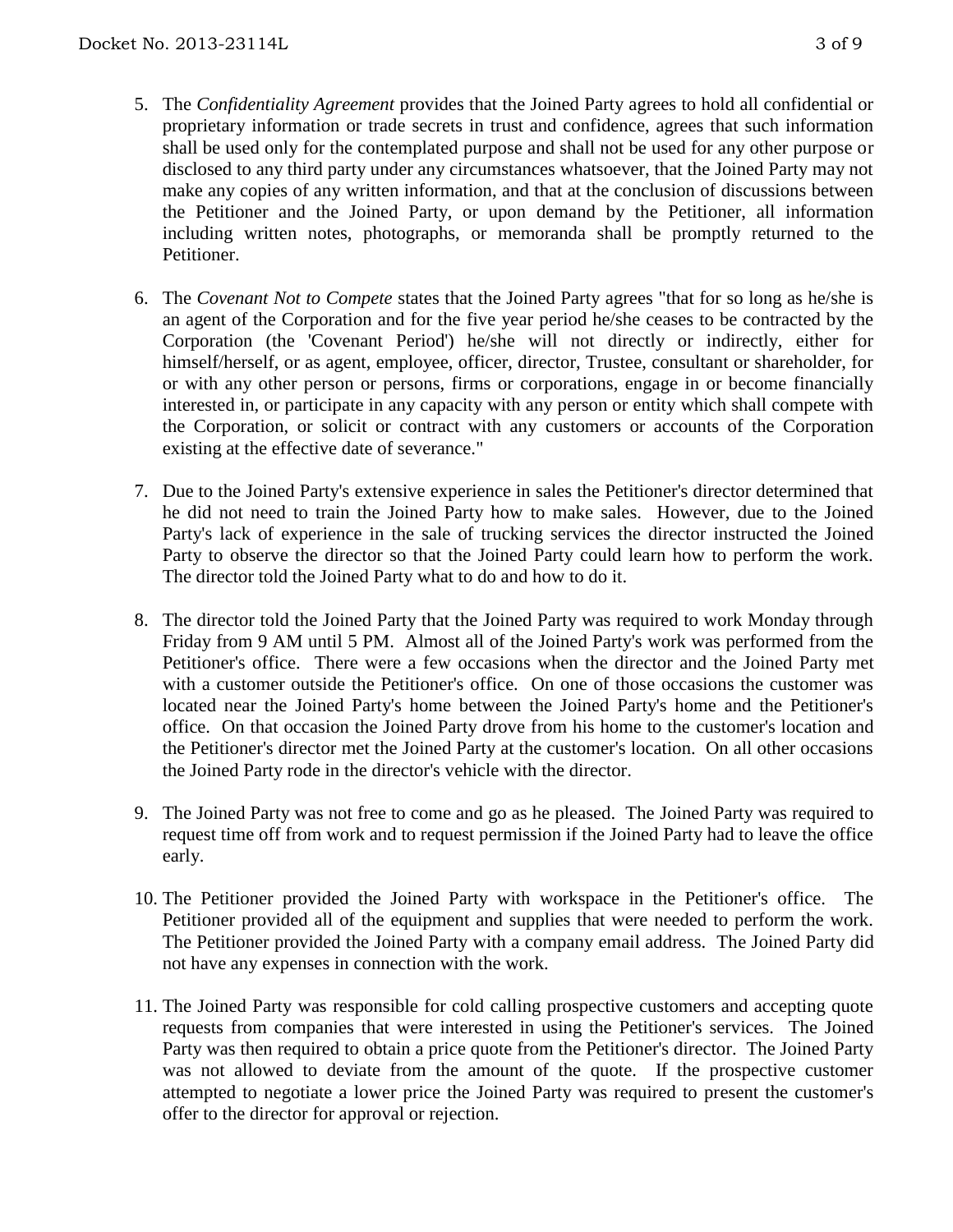- 5. The *Confidentiality Agreement* provides that the Joined Party agrees to hold all confidential or proprietary information or trade secrets in trust and confidence, agrees that such information shall be used only for the contemplated purpose and shall not be used for any other purpose or disclosed to any third party under any circumstances whatsoever, that the Joined Party may not make any copies of any written information, and that at the conclusion of discussions between the Petitioner and the Joined Party, or upon demand by the Petitioner, all information including written notes, photographs, or memoranda shall be promptly returned to the Petitioner.
- 6. The *Covenant Not to Compete* states that the Joined Party agrees "that for so long as he/she is an agent of the Corporation and for the five year period he/she ceases to be contracted by the Corporation (the 'Covenant Period') he/she will not directly or indirectly, either for himself/herself, or as agent, employee, officer, director, Trustee, consultant or shareholder, for or with any other person or persons, firms or corporations, engage in or become financially interested in, or participate in any capacity with any person or entity which shall compete with the Corporation, or solicit or contract with any customers or accounts of the Corporation existing at the effective date of severance."
- 7. Due to the Joined Party's extensive experience in sales the Petitioner's director determined that he did not need to train the Joined Party how to make sales. However, due to the Joined Party's lack of experience in the sale of trucking services the director instructed the Joined Party to observe the director so that the Joined Party could learn how to perform the work. The director told the Joined Party what to do and how to do it.
- 8. The director told the Joined Party that the Joined Party was required to work Monday through Friday from 9 AM until 5 PM. Almost all of the Joined Party's work was performed from the Petitioner's office. There were a few occasions when the director and the Joined Party met with a customer outside the Petitioner's office. On one of those occasions the customer was located near the Joined Party's home between the Joined Party's home and the Petitioner's office. On that occasion the Joined Party drove from his home to the customer's location and the Petitioner's director met the Joined Party at the customer's location. On all other occasions the Joined Party rode in the director's vehicle with the director.
- 9. The Joined Party was not free to come and go as he pleased. The Joined Party was required to request time off from work and to request permission if the Joined Party had to leave the office early.
- 10. The Petitioner provided the Joined Party with workspace in the Petitioner's office. The Petitioner provided all of the equipment and supplies that were needed to perform the work. The Petitioner provided the Joined Party with a company email address. The Joined Party did not have any expenses in connection with the work.
- 11. The Joined Party was responsible for cold calling prospective customers and accepting quote requests from companies that were interested in using the Petitioner's services. The Joined Party was then required to obtain a price quote from the Petitioner's director. The Joined Party was not allowed to deviate from the amount of the quote. If the prospective customer attempted to negotiate a lower price the Joined Party was required to present the customer's offer to the director for approval or rejection.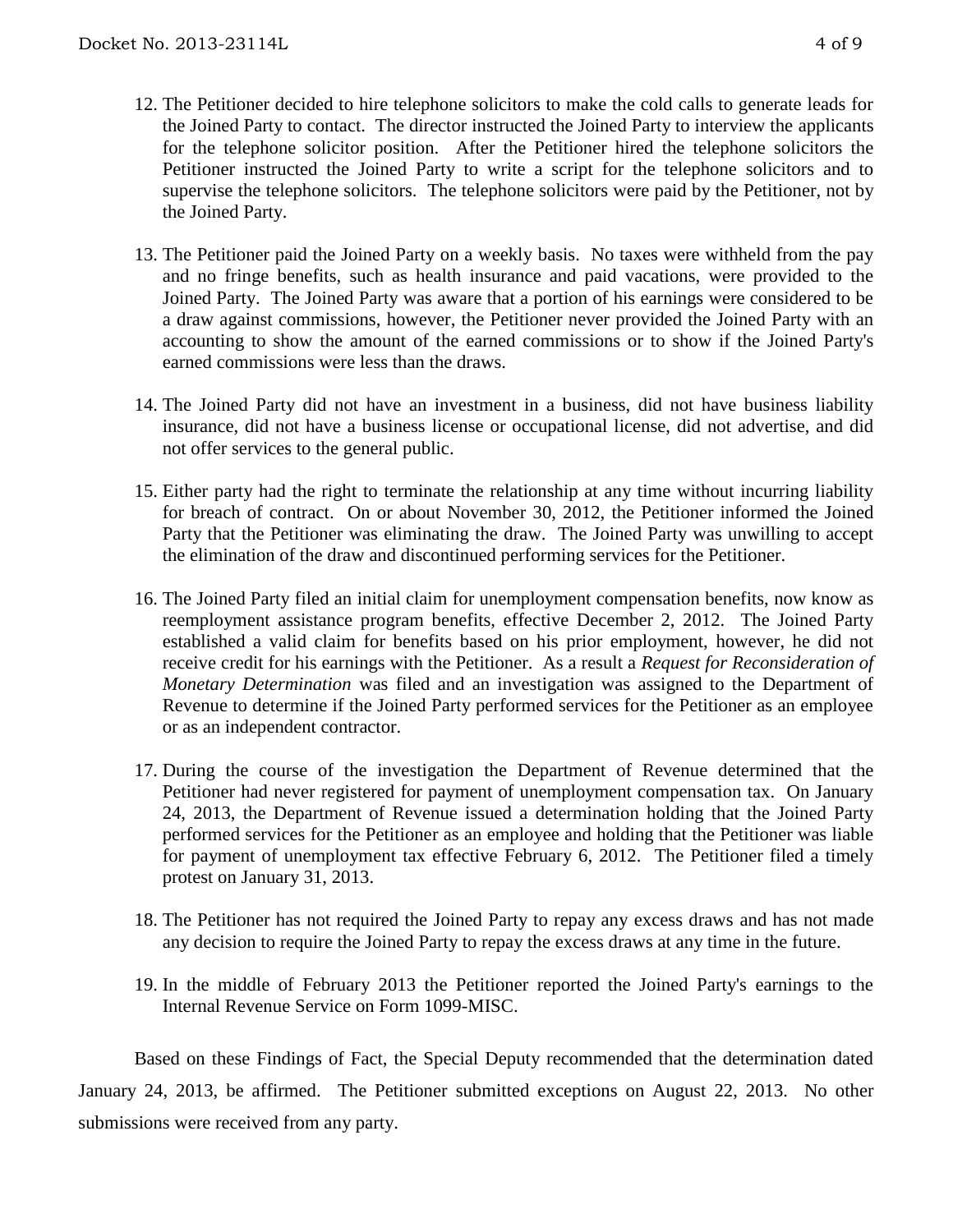- 12. The Petitioner decided to hire telephone solicitors to make the cold calls to generate leads for the Joined Party to contact. The director instructed the Joined Party to interview the applicants for the telephone solicitor position. After the Petitioner hired the telephone solicitors the Petitioner instructed the Joined Party to write a script for the telephone solicitors and to supervise the telephone solicitors. The telephone solicitors were paid by the Petitioner, not by the Joined Party.
- 13. The Petitioner paid the Joined Party on a weekly basis. No taxes were withheld from the pay and no fringe benefits, such as health insurance and paid vacations, were provided to the Joined Party. The Joined Party was aware that a portion of his earnings were considered to be a draw against commissions, however, the Petitioner never provided the Joined Party with an accounting to show the amount of the earned commissions or to show if the Joined Party's earned commissions were less than the draws.
- 14. The Joined Party did not have an investment in a business, did not have business liability insurance, did not have a business license or occupational license, did not advertise, and did not offer services to the general public.
- 15. Either party had the right to terminate the relationship at any time without incurring liability for breach of contract. On or about November 30, 2012, the Petitioner informed the Joined Party that the Petitioner was eliminating the draw. The Joined Party was unwilling to accept the elimination of the draw and discontinued performing services for the Petitioner.
- 16. The Joined Party filed an initial claim for unemployment compensation benefits, now know as reemployment assistance program benefits, effective December 2, 2012. The Joined Party established a valid claim for benefits based on his prior employment, however, he did not receive credit for his earnings with the Petitioner. As a result a *Request for Reconsideration of Monetary Determination* was filed and an investigation was assigned to the Department of Revenue to determine if the Joined Party performed services for the Petitioner as an employee or as an independent contractor.
- 17. During the course of the investigation the Department of Revenue determined that the Petitioner had never registered for payment of unemployment compensation tax. On January 24, 2013, the Department of Revenue issued a determination holding that the Joined Party performed services for the Petitioner as an employee and holding that the Petitioner was liable for payment of unemployment tax effective February 6, 2012. The Petitioner filed a timely protest on January 31, 2013.
- 18. The Petitioner has not required the Joined Party to repay any excess draws and has not made any decision to require the Joined Party to repay the excess draws at any time in the future.
- 19. In the middle of February 2013 the Petitioner reported the Joined Party's earnings to the Internal Revenue Service on Form 1099-MISC.

Based on these Findings of Fact, the Special Deputy recommended that the determination dated January 24, 2013, be affirmed. The Petitioner submitted exceptions on August 22, 2013. No other submissions were received from any party.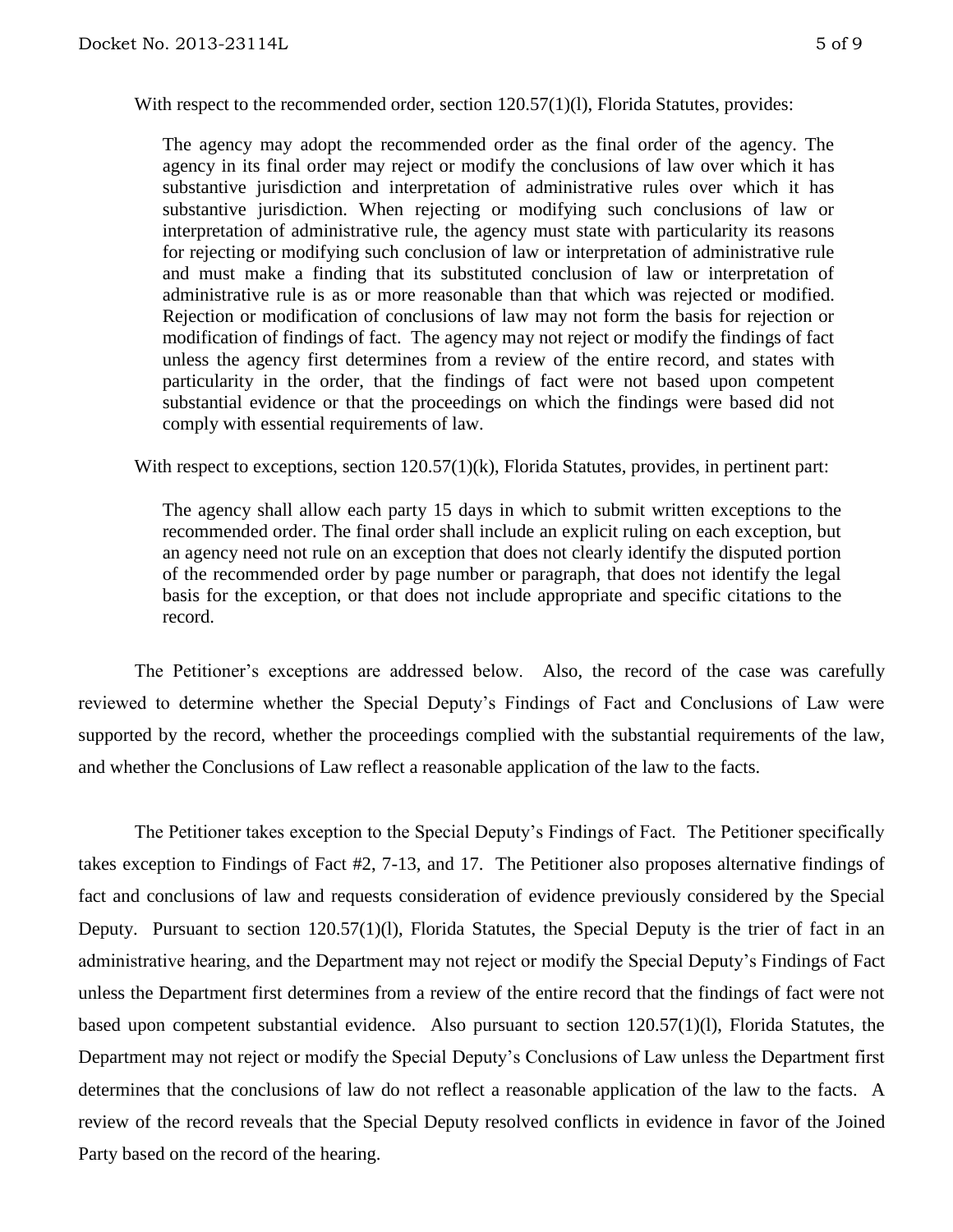With respect to the recommended order, section 120.57(1)(l), Florida Statutes, provides:

The agency may adopt the recommended order as the final order of the agency. The agency in its final order may reject or modify the conclusions of law over which it has substantive jurisdiction and interpretation of administrative rules over which it has substantive jurisdiction. When rejecting or modifying such conclusions of law or interpretation of administrative rule, the agency must state with particularity its reasons for rejecting or modifying such conclusion of law or interpretation of administrative rule and must make a finding that its substituted conclusion of law or interpretation of administrative rule is as or more reasonable than that which was rejected or modified. Rejection or modification of conclusions of law may not form the basis for rejection or modification of findings of fact. The agency may not reject or modify the findings of fact unless the agency first determines from a review of the entire record, and states with particularity in the order, that the findings of fact were not based upon competent substantial evidence or that the proceedings on which the findings were based did not comply with essential requirements of law.

With respect to exceptions, section  $120.57(1)(k)$ , Florida Statutes, provides, in pertinent part:

The agency shall allow each party 15 days in which to submit written exceptions to the recommended order. The final order shall include an explicit ruling on each exception, but an agency need not rule on an exception that does not clearly identify the disputed portion of the recommended order by page number or paragraph, that does not identify the legal basis for the exception, or that does not include appropriate and specific citations to the record.

The Petitioner's exceptions are addressed below. Also, the record of the case was carefully reviewed to determine whether the Special Deputy's Findings of Fact and Conclusions of Law were supported by the record, whether the proceedings complied with the substantial requirements of the law, and whether the Conclusions of Law reflect a reasonable application of the law to the facts.

The Petitioner takes exception to the Special Deputy's Findings of Fact. The Petitioner specifically takes exception to Findings of Fact #2, 7-13, and 17. The Petitioner also proposes alternative findings of fact and conclusions of law and requests consideration of evidence previously considered by the Special Deputy. Pursuant to section 120.57(1)(1), Florida Statutes, the Special Deputy is the trier of fact in an administrative hearing, and the Department may not reject or modify the Special Deputy's Findings of Fact unless the Department first determines from a review of the entire record that the findings of fact were not based upon competent substantial evidence. Also pursuant to section 120.57(1)(l), Florida Statutes, the Department may not reject or modify the Special Deputy's Conclusions of Law unless the Department first determines that the conclusions of law do not reflect a reasonable application of the law to the facts. A review of the record reveals that the Special Deputy resolved conflicts in evidence in favor of the Joined Party based on the record of the hearing.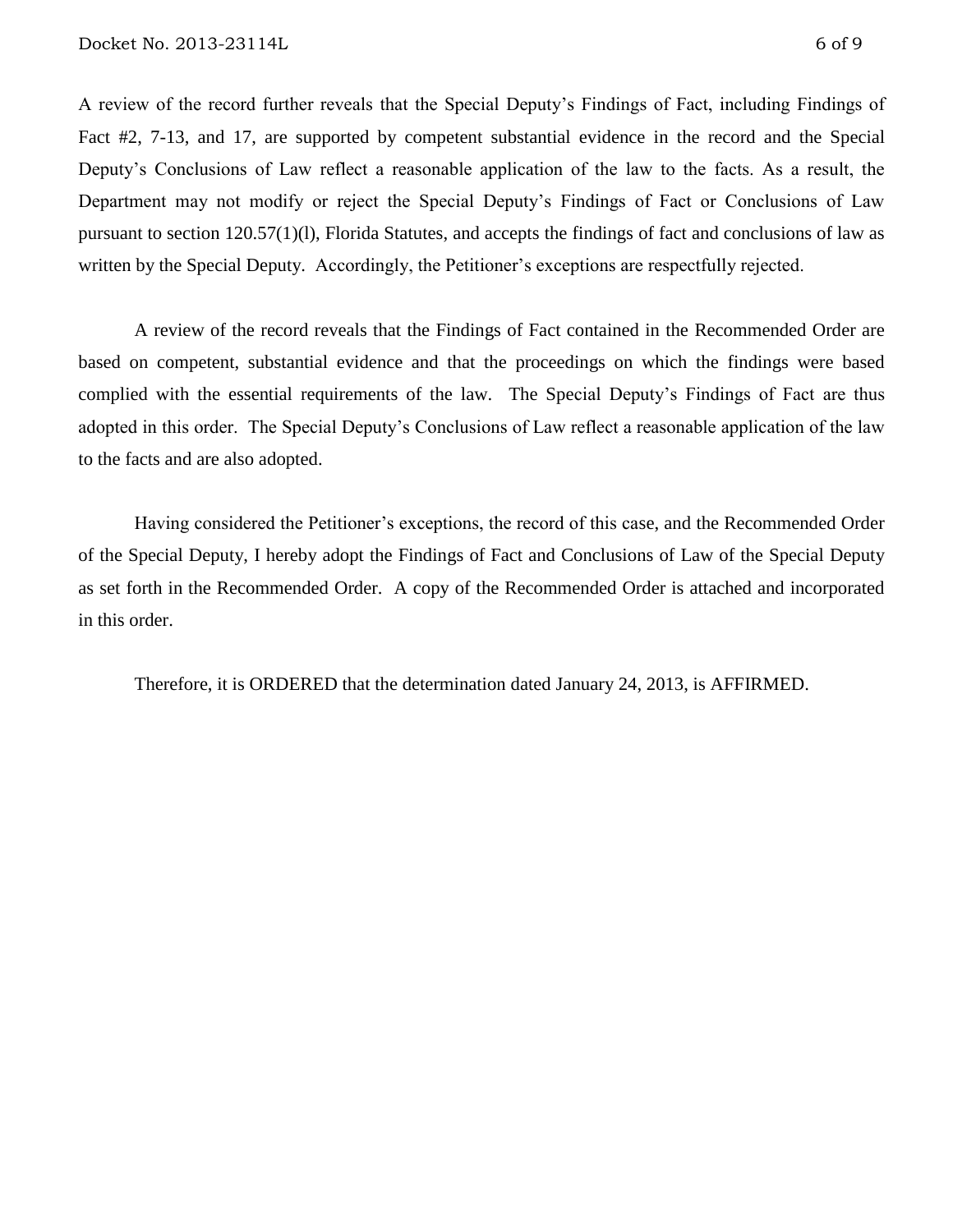A review of the record further reveals that the Special Deputy's Findings of Fact, including Findings of Fact #2, 7-13, and 17, are supported by competent substantial evidence in the record and the Special Deputy's Conclusions of Law reflect a reasonable application of the law to the facts. As a result, the Department may not modify or reject the Special Deputy's Findings of Fact or Conclusions of Law pursuant to section 120.57(1)(l), Florida Statutes, and accepts the findings of fact and conclusions of law as written by the Special Deputy. Accordingly, the Petitioner's exceptions are respectfully rejected.

A review of the record reveals that the Findings of Fact contained in the Recommended Order are based on competent, substantial evidence and that the proceedings on which the findings were based complied with the essential requirements of the law. The Special Deputy's Findings of Fact are thus adopted in this order. The Special Deputy's Conclusions of Law reflect a reasonable application of the law to the facts and are also adopted.

Having considered the Petitioner's exceptions, the record of this case, and the Recommended Order of the Special Deputy, I hereby adopt the Findings of Fact and Conclusions of Law of the Special Deputy as set forth in the Recommended Order. A copy of the Recommended Order is attached and incorporated in this order.

Therefore, it is ORDERED that the determination dated January 24, 2013, is AFFIRMED.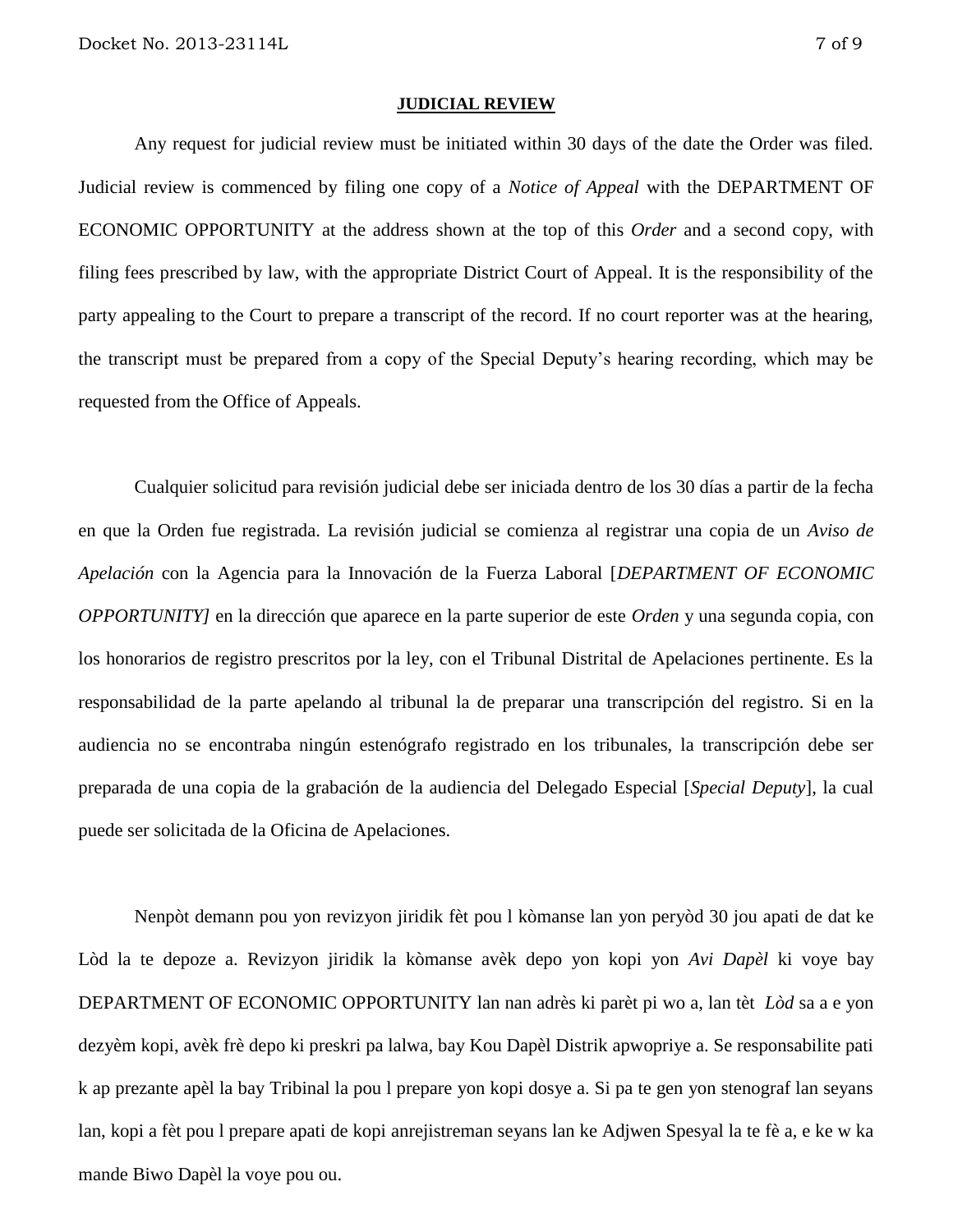#### **JUDICIAL REVIEW**

Any request for judicial review must be initiated within 30 days of the date the Order was filed. Judicial review is commenced by filing one copy of a *Notice of Appeal* with the DEPARTMENT OF ECONOMIC OPPORTUNITY at the address shown at the top of this *Order* and a second copy, with filing fees prescribed by law, with the appropriate District Court of Appeal. It is the responsibility of the party appealing to the Court to prepare a transcript of the record. If no court reporter was at the hearing, the transcript must be prepared from a copy of the Special Deputy's hearing recording, which may be requested from the Office of Appeals.

Cualquier solicitud para revisión judicial debe ser iniciada dentro de los 30 días a partir de la fecha en que la Orden fue registrada. La revisión judicial se comienza al registrar una copia de un *Aviso de Apelación* con la Agencia para la Innovación de la Fuerza Laboral [*DEPARTMENT OF ECONOMIC OPPORTUNITY]* en la dirección que aparece en la parte superior de este *Orden* y una segunda copia, con los honorarios de registro prescritos por la ley, con el Tribunal Distrital de Apelaciones pertinente. Es la responsabilidad de la parte apelando al tribunal la de preparar una transcripción del registro. Si en la audiencia no se encontraba ningún estenógrafo registrado en los tribunales, la transcripción debe ser preparada de una copia de la grabación de la audiencia del Delegado Especial [*Special Deputy*], la cual puede ser solicitada de la Oficina de Apelaciones.

Nenpòt demann pou yon revizyon jiridik fèt pou l kòmanse lan yon peryòd 30 jou apati de dat ke Lòd la te depoze a. Revizyon jiridik la kòmanse avèk depo yon kopi yon *Avi Dapèl* ki voye bay DEPARTMENT OF ECONOMIC OPPORTUNITY lan nan adrès ki parèt pi wo a, lan tèt *Lòd* sa a e yon dezyèm kopi, avèk frè depo ki preskri pa lalwa, bay Kou Dapèl Distrik apwopriye a. Se responsabilite pati k ap prezante apèl la bay Tribinal la pou l prepare yon kopi dosye a. Si pa te gen yon stenograf lan seyans lan, kopi a fèt pou l prepare apati de kopi anrejistreman seyans lan ke Adjwen Spesyal la te fè a, e ke w ka mande Biwo Dapèl la voye pou ou.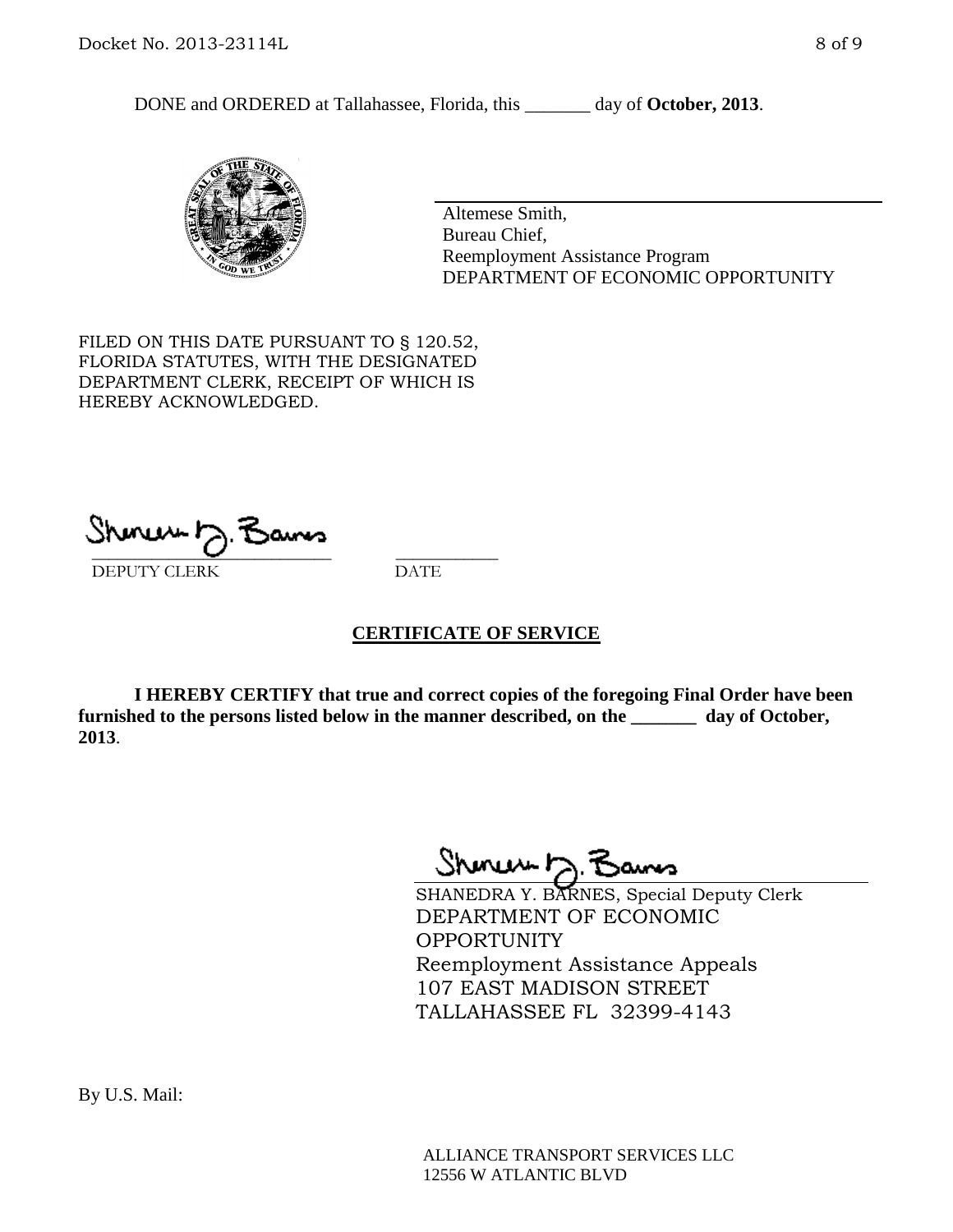DONE and ORDERED at Tallahassee, Florida, this \_\_\_\_\_\_\_ day of **October, 2013**.



Altemese Smith, Bureau Chief, Reemployment Assistance Program DEPARTMENT OF ECONOMIC OPPORTUNITY

FILED ON THIS DATE PURSUANT TO § 120.52, FLORIDA STATUTES, WITH THE DESIGNATED DEPARTMENT CLERK, RECEIPT OF WHICH IS HEREBY ACKNOWLEDGED.

 $\overline{\phantom{a}}$  ,  $\overline{\phantom{a}}$  ,  $\overline{\phantom{a}}$  ,  $\overline{\phantom{a}}$  ,  $\overline{\phantom{a}}$  ,  $\overline{\phantom{a}}$  ,  $\overline{\phantom{a}}$  ,  $\overline{\phantom{a}}$  ,  $\overline{\phantom{a}}$  ,  $\overline{\phantom{a}}$  ,  $\overline{\phantom{a}}$  ,  $\overline{\phantom{a}}$  ,  $\overline{\phantom{a}}$  ,  $\overline{\phantom{a}}$  ,  $\overline{\phantom{a}}$  ,  $\overline{\phantom{a}}$ DEPUTY CLERK DATE

### **CERTIFICATE OF SERVICE**

**I HEREBY CERTIFY that true and correct copies of the foregoing Final Order have been furnished to the persons listed below in the manner described, on the \_\_\_\_\_\_\_ day of October, 2013**.

Shoner D. Bans

SHANEDRA Y. BARNES, Special Deputy Clerk DEPARTMENT OF ECONOMIC OPPORTUNITY Reemployment Assistance Appeals 107 EAST MADISON STREET TALLAHASSEE FL 32399-4143

ALLIANCE TRANSPORT SERVICES LLC 12556 W ATLANTIC BLVD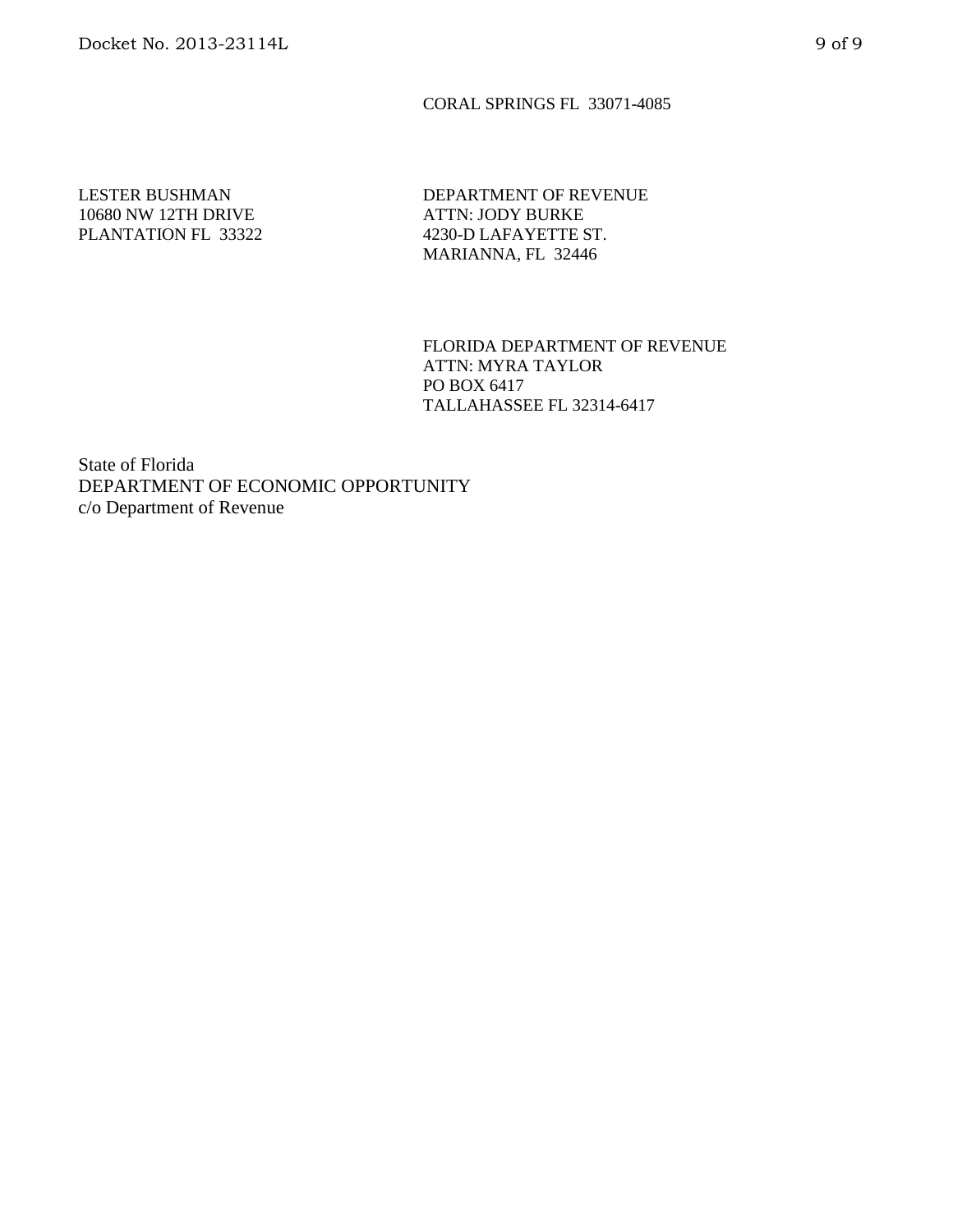#### CORAL SPRINGS FL 33071-4085

### LESTER BUSHMAN 10680 NW 12TH DRIVE PLANTATION FL 33322

DEPARTMENT OF REVENUE ATTN: JODY BURKE 4230-D LAFAYETTE ST. MARIANNA, FL 32446

FLORIDA DEPARTMENT OF REVENUE ATTN: MYRA TAYLOR PO BOX 6417 TALLAHASSEE FL 32314-6417

State of Florida DEPARTMENT OF ECONOMIC OPPORTUNITY c/o Department of Revenue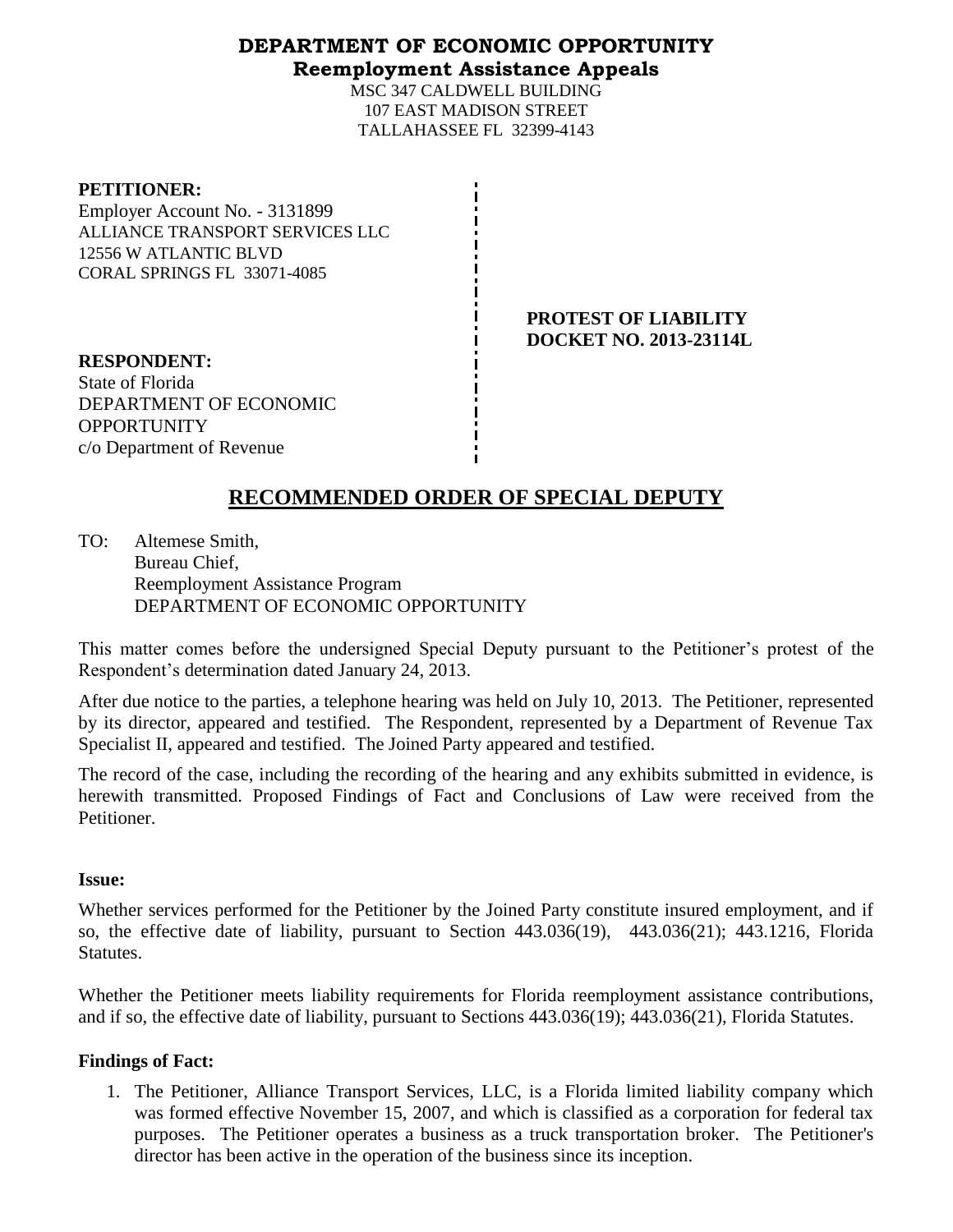### **DEPARTMENT OF ECONOMIC OPPORTUNITY Reemployment Assistance Appeals**

MSC 347 CALDWELL BUILDING 107 EAST MADISON STREET TALLAHASSEE FL 32399-4143

#### **PETITIONER:**

Employer Account No. - 3131899 ALLIANCE TRANSPORT SERVICES LLC 12556 W ATLANTIC BLVD CORAL SPRINGS FL 33071-4085

> **PROTEST OF LIABILITY DOCKET NO. 2013-23114L**

**RESPONDENT:** State of Florida DEPARTMENT OF ECONOMIC OPPORTUNITY c/o Department of Revenue

# **RECOMMENDED ORDER OF SPECIAL DEPUTY**

TO: Altemese Smith, Bureau Chief, Reemployment Assistance Program DEPARTMENT OF ECONOMIC OPPORTUNITY

This matter comes before the undersigned Special Deputy pursuant to the Petitioner's protest of the Respondent's determination dated January 24, 2013.

After due notice to the parties, a telephone hearing was held on July 10, 2013. The Petitioner, represented by its director, appeared and testified. The Respondent, represented by a Department of Revenue Tax Specialist II, appeared and testified. The Joined Party appeared and testified.

The record of the case, including the recording of the hearing and any exhibits submitted in evidence, is herewith transmitted. Proposed Findings of Fact and Conclusions of Law were received from the Petitioner.

### **Issue:**

Whether services performed for the Petitioner by the Joined Party constitute insured employment, and if so, the effective date of liability, pursuant to Section 443.036(19), 443.036(21); 443.1216, Florida Statutes.

Whether the Petitioner meets liability requirements for Florida reemployment assistance contributions, and if so, the effective date of liability, pursuant to Sections 443.036(19); 443.036(21), Florida Statutes.

### **Findings of Fact:**

1. The Petitioner, Alliance Transport Services, LLC, is a Florida limited liability company which was formed effective November 15, 2007, and which is classified as a corporation for federal tax purposes. The Petitioner operates a business as a truck transportation broker. The Petitioner's director has been active in the operation of the business since its inception.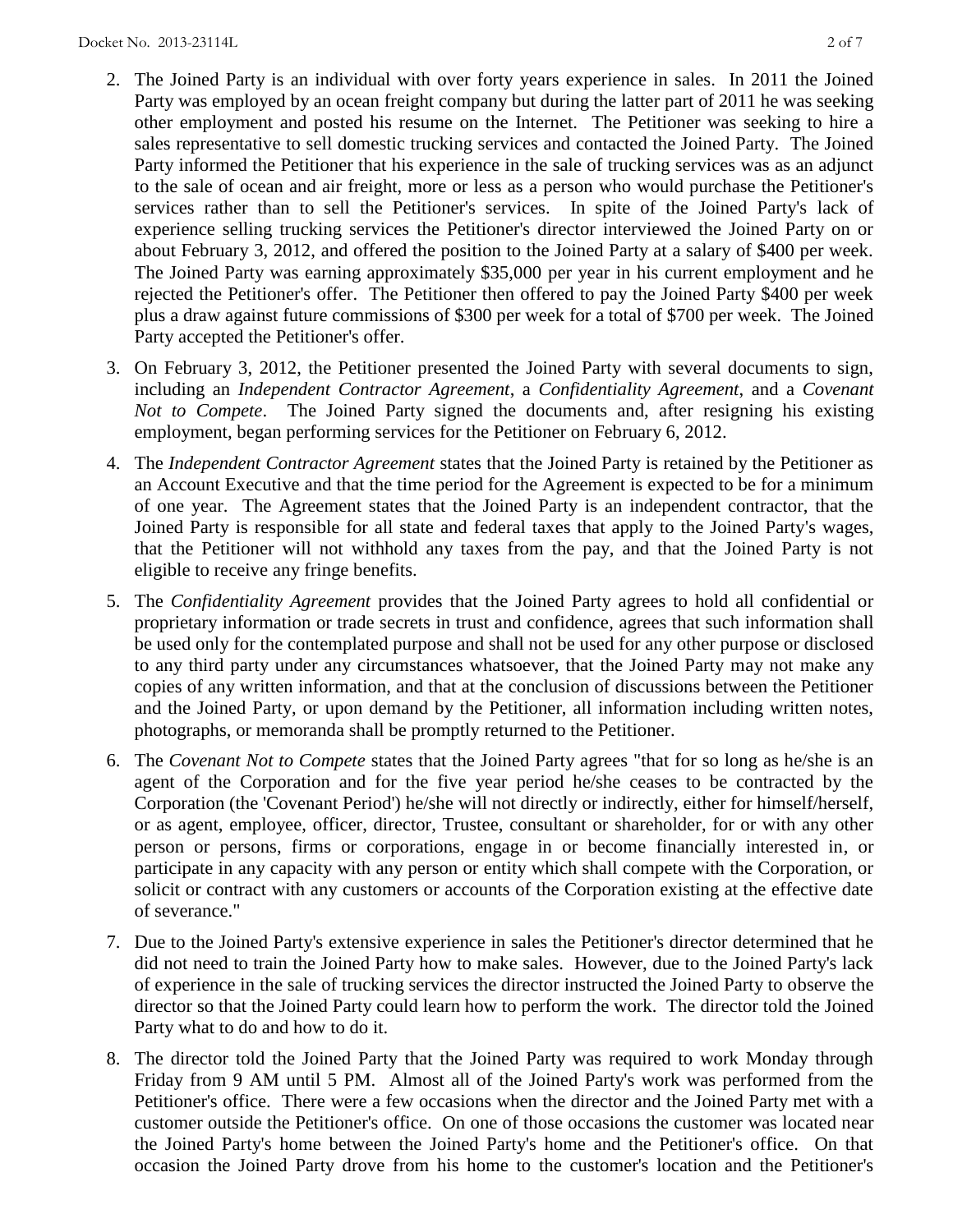- 2. The Joined Party is an individual with over forty years experience in sales. In 2011 the Joined Party was employed by an ocean freight company but during the latter part of 2011 he was seeking other employment and posted his resume on the Internet. The Petitioner was seeking to hire a sales representative to sell domestic trucking services and contacted the Joined Party. The Joined Party informed the Petitioner that his experience in the sale of trucking services was as an adjunct to the sale of ocean and air freight, more or less as a person who would purchase the Petitioner's services rather than to sell the Petitioner's services. In spite of the Joined Party's lack of experience selling trucking services the Petitioner's director interviewed the Joined Party on or about February 3, 2012, and offered the position to the Joined Party at a salary of \$400 per week. The Joined Party was earning approximately \$35,000 per year in his current employment and he rejected the Petitioner's offer. The Petitioner then offered to pay the Joined Party \$400 per week plus a draw against future commissions of \$300 per week for a total of \$700 per week. The Joined Party accepted the Petitioner's offer.
- 3. On February 3, 2012, the Petitioner presented the Joined Party with several documents to sign, including an *Independent Contractor Agreement*, a *Confidentiality Agreement*, and a *Covenant Not to Compete*. The Joined Party signed the documents and, after resigning his existing employment, began performing services for the Petitioner on February 6, 2012.
- 4. The *Independent Contractor Agreement* states that the Joined Party is retained by the Petitioner as an Account Executive and that the time period for the Agreement is expected to be for a minimum of one year. The Agreement states that the Joined Party is an independent contractor, that the Joined Party is responsible for all state and federal taxes that apply to the Joined Party's wages, that the Petitioner will not withhold any taxes from the pay, and that the Joined Party is not eligible to receive any fringe benefits.
- 5. The *Confidentiality Agreement* provides that the Joined Party agrees to hold all confidential or proprietary information or trade secrets in trust and confidence, agrees that such information shall be used only for the contemplated purpose and shall not be used for any other purpose or disclosed to any third party under any circumstances whatsoever, that the Joined Party may not make any copies of any written information, and that at the conclusion of discussions between the Petitioner and the Joined Party, or upon demand by the Petitioner, all information including written notes, photographs, or memoranda shall be promptly returned to the Petitioner.
- 6. The *Covenant Not to Compete* states that the Joined Party agrees "that for so long as he/she is an agent of the Corporation and for the five year period he/she ceases to be contracted by the Corporation (the 'Covenant Period') he/she will not directly or indirectly, either for himself/herself, or as agent, employee, officer, director, Trustee, consultant or shareholder, for or with any other person or persons, firms or corporations, engage in or become financially interested in, or participate in any capacity with any person or entity which shall compete with the Corporation, or solicit or contract with any customers or accounts of the Corporation existing at the effective date of severance."
- 7. Due to the Joined Party's extensive experience in sales the Petitioner's director determined that he did not need to train the Joined Party how to make sales. However, due to the Joined Party's lack of experience in the sale of trucking services the director instructed the Joined Party to observe the director so that the Joined Party could learn how to perform the work. The director told the Joined Party what to do and how to do it.
- 8. The director told the Joined Party that the Joined Party was required to work Monday through Friday from 9 AM until 5 PM. Almost all of the Joined Party's work was performed from the Petitioner's office. There were a few occasions when the director and the Joined Party met with a customer outside the Petitioner's office. On one of those occasions the customer was located near the Joined Party's home between the Joined Party's home and the Petitioner's office. On that occasion the Joined Party drove from his home to the customer's location and the Petitioner's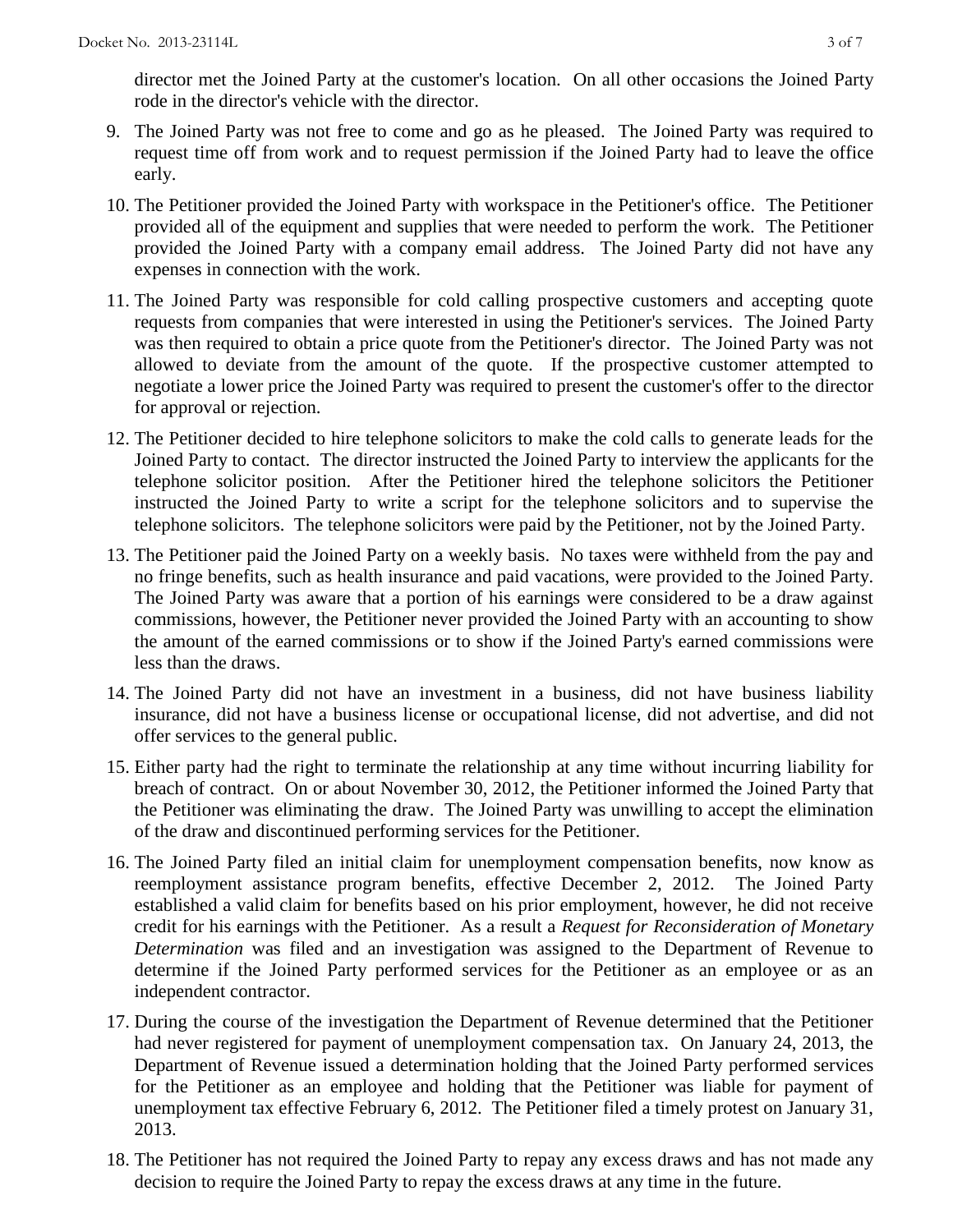director met the Joined Party at the customer's location. On all other occasions the Joined Party rode in the director's vehicle with the director.

- 9. The Joined Party was not free to come and go as he pleased. The Joined Party was required to request time off from work and to request permission if the Joined Party had to leave the office early.
- 10. The Petitioner provided the Joined Party with workspace in the Petitioner's office. The Petitioner provided all of the equipment and supplies that were needed to perform the work. The Petitioner provided the Joined Party with a company email address. The Joined Party did not have any expenses in connection with the work.
- 11. The Joined Party was responsible for cold calling prospective customers and accepting quote requests from companies that were interested in using the Petitioner's services. The Joined Party was then required to obtain a price quote from the Petitioner's director. The Joined Party was not allowed to deviate from the amount of the quote. If the prospective customer attempted to negotiate a lower price the Joined Party was required to present the customer's offer to the director for approval or rejection.
- 12. The Petitioner decided to hire telephone solicitors to make the cold calls to generate leads for the Joined Party to contact. The director instructed the Joined Party to interview the applicants for the telephone solicitor position. After the Petitioner hired the telephone solicitors the Petitioner instructed the Joined Party to write a script for the telephone solicitors and to supervise the telephone solicitors. The telephone solicitors were paid by the Petitioner, not by the Joined Party.
- 13. The Petitioner paid the Joined Party on a weekly basis. No taxes were withheld from the pay and no fringe benefits, such as health insurance and paid vacations, were provided to the Joined Party. The Joined Party was aware that a portion of his earnings were considered to be a draw against commissions, however, the Petitioner never provided the Joined Party with an accounting to show the amount of the earned commissions or to show if the Joined Party's earned commissions were less than the draws.
- 14. The Joined Party did not have an investment in a business, did not have business liability insurance, did not have a business license or occupational license, did not advertise, and did not offer services to the general public.
- 15. Either party had the right to terminate the relationship at any time without incurring liability for breach of contract. On or about November 30, 2012, the Petitioner informed the Joined Party that the Petitioner was eliminating the draw. The Joined Party was unwilling to accept the elimination of the draw and discontinued performing services for the Petitioner.
- 16. The Joined Party filed an initial claim for unemployment compensation benefits, now know as reemployment assistance program benefits, effective December 2, 2012. The Joined Party established a valid claim for benefits based on his prior employment, however, he did not receive credit for his earnings with the Petitioner. As a result a *Request for Reconsideration of Monetary Determination* was filed and an investigation was assigned to the Department of Revenue to determine if the Joined Party performed services for the Petitioner as an employee or as an independent contractor.
- 17. During the course of the investigation the Department of Revenue determined that the Petitioner had never registered for payment of unemployment compensation tax. On January 24, 2013, the Department of Revenue issued a determination holding that the Joined Party performed services for the Petitioner as an employee and holding that the Petitioner was liable for payment of unemployment tax effective February 6, 2012. The Petitioner filed a timely protest on January 31, 2013.
- 18. The Petitioner has not required the Joined Party to repay any excess draws and has not made any decision to require the Joined Party to repay the excess draws at any time in the future.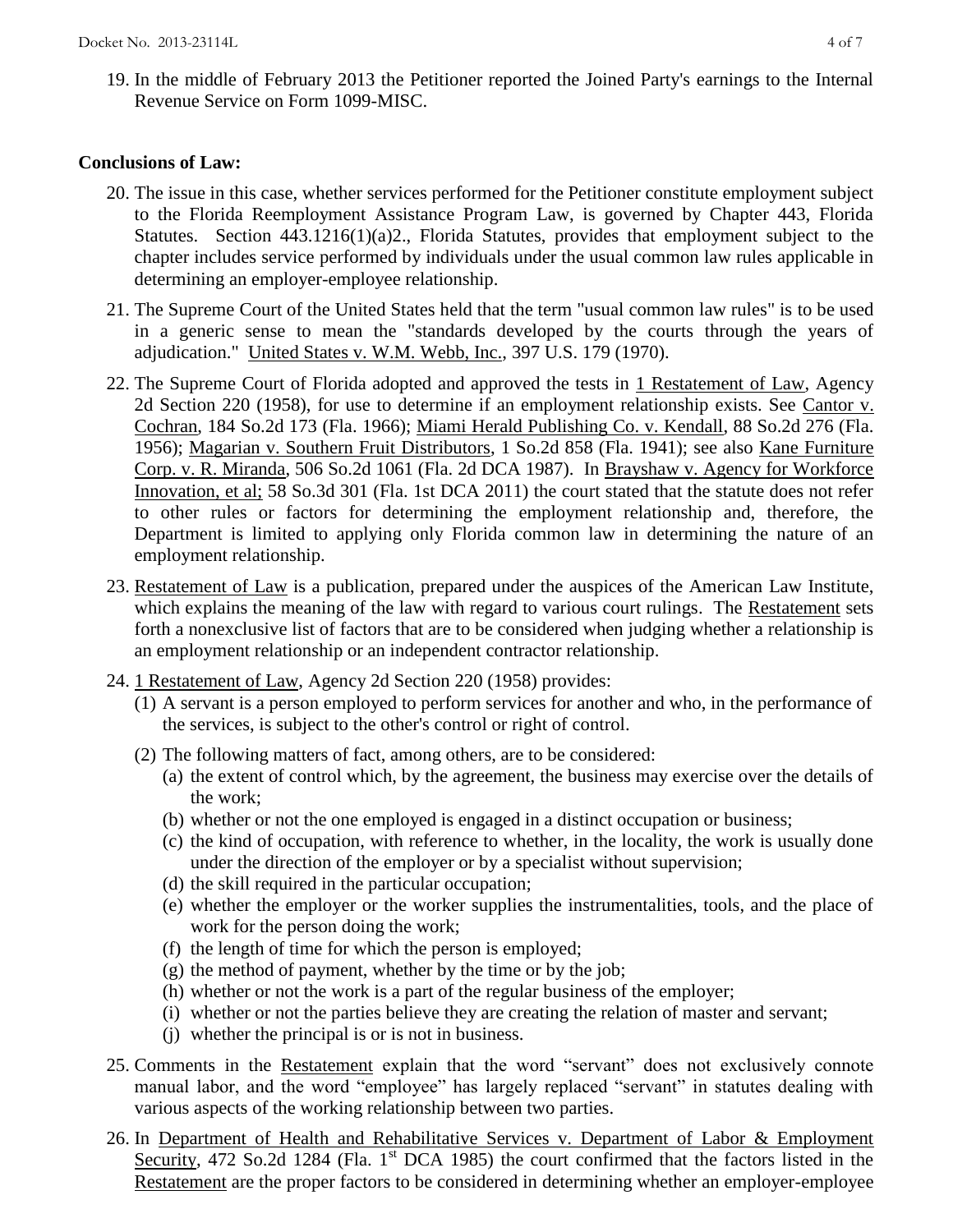19. In the middle of February 2013 the Petitioner reported the Joined Party's earnings to the Internal Revenue Service on Form 1099-MISC.

### **Conclusions of Law:**

- 20. The issue in this case, whether services performed for the Petitioner constitute employment subject to the Florida Reemployment Assistance Program Law, is governed by Chapter 443, Florida Statutes. Section 443.1216(1)(a)2., Florida Statutes, provides that employment subject to the chapter includes service performed by individuals under the usual common law rules applicable in determining an employer-employee relationship.
- 21. The Supreme Court of the United States held that the term "usual common law rules" is to be used in a generic sense to mean the "standards developed by the courts through the years of adjudication." United States v. W.M. Webb, Inc., 397 U.S. 179 (1970).
- 22. The Supreme Court of Florida adopted and approved the tests in 1 Restatement of Law, Agency 2d Section 220 (1958), for use to determine if an employment relationship exists. See Cantor v. Cochran, 184 So.2d 173 (Fla. 1966); Miami Herald Publishing Co. v. Kendall, 88 So.2d 276 (Fla. 1956); Magarian v. Southern Fruit Distributors, 1 So.2d 858 (Fla. 1941); see also Kane Furniture Corp. v. R. Miranda, 506 So.2d 1061 (Fla. 2d DCA 1987). In Brayshaw v. Agency for Workforce Innovation, et al; 58 So.3d 301 (Fla. 1st DCA 2011) the court stated that the statute does not refer to other rules or factors for determining the employment relationship and, therefore, the Department is limited to applying only Florida common law in determining the nature of an employment relationship.
- 23. Restatement of Law is a publication, prepared under the auspices of the American Law Institute, which explains the meaning of the law with regard to various court rulings. The Restatement sets forth a nonexclusive list of factors that are to be considered when judging whether a relationship is an employment relationship or an independent contractor relationship.
- 24. 1 Restatement of Law, Agency 2d Section 220 (1958) provides:
	- (1) A servant is a person employed to perform services for another and who, in the performance of the services, is subject to the other's control or right of control.
	- (2) The following matters of fact, among others, are to be considered:
		- (a) the extent of control which, by the agreement, the business may exercise over the details of the work;
		- (b) whether or not the one employed is engaged in a distinct occupation or business;
		- (c) the kind of occupation, with reference to whether, in the locality, the work is usually done under the direction of the employer or by a specialist without supervision;
		- (d) the skill required in the particular occupation;
		- (e) whether the employer or the worker supplies the instrumentalities, tools, and the place of work for the person doing the work;
		- (f) the length of time for which the person is employed;
		- (g) the method of payment, whether by the time or by the job;
		- (h) whether or not the work is a part of the regular business of the employer;
		- (i) whether or not the parties believe they are creating the relation of master and servant;
		- (j) whether the principal is or is not in business.
- 25. Comments in the Restatement explain that the word "servant" does not exclusively connote manual labor, and the word "employee" has largely replaced "servant" in statutes dealing with various aspects of the working relationship between two parties.
- 26. In Department of Health and Rehabilitative Services v. Department of Labor & Employment Security, 472 So.2d 1284 (Fla. 1<sup>st</sup> DCA 1985) the court confirmed that the factors listed in the Restatement are the proper factors to be considered in determining whether an employer-employee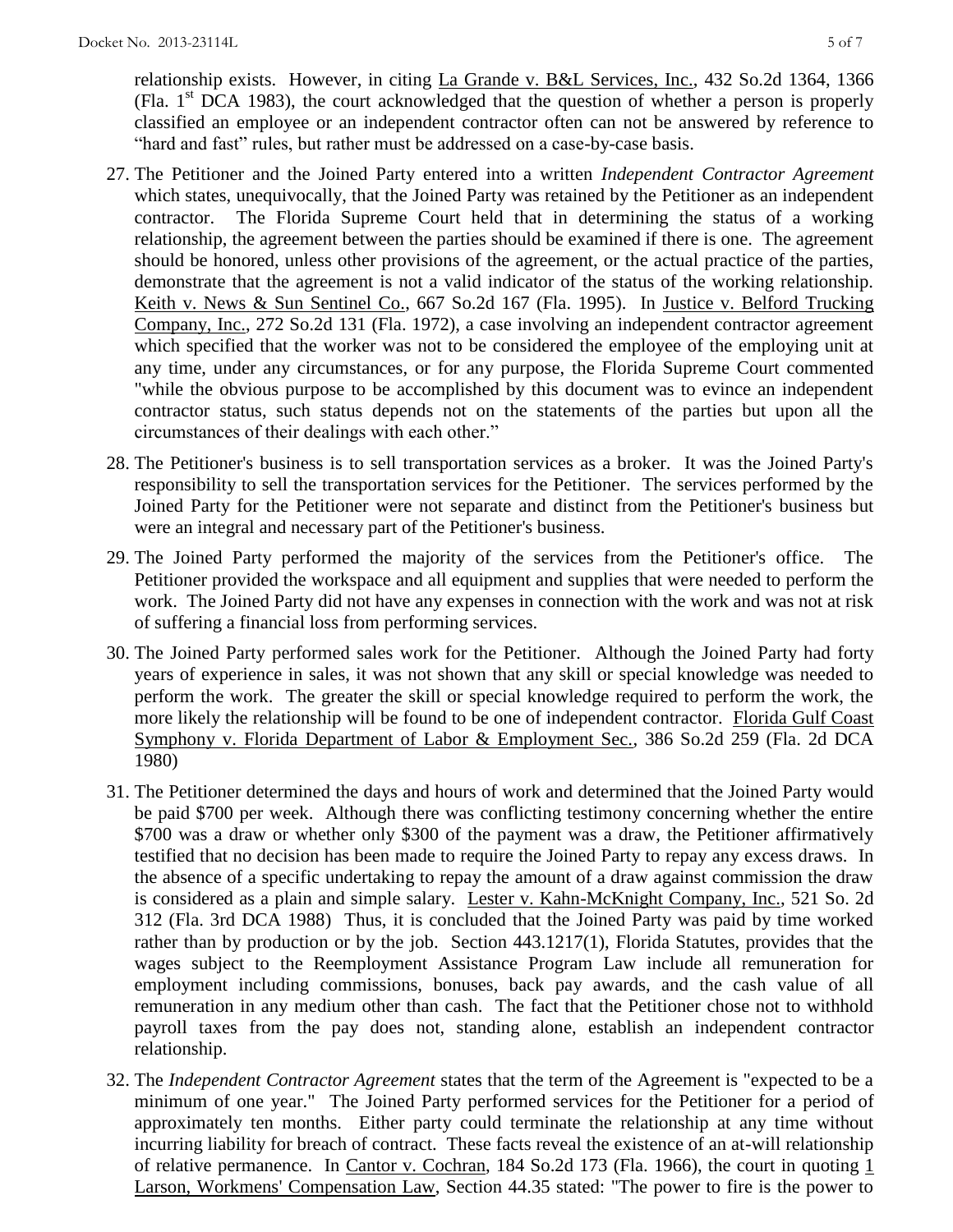relationship exists. However, in citing La Grande v. B&L Services, Inc., 432 So.2d 1364, 1366 (Fla.  $1<sup>st</sup> DCA$  1983), the court acknowledged that the question of whether a person is properly classified an employee or an independent contractor often can not be answered by reference to "hard and fast" rules, but rather must be addressed on a case-by-case basis.

- 27. The Petitioner and the Joined Party entered into a written *Independent Contractor Agreement* which states, unequivocally, that the Joined Party was retained by the Petitioner as an independent contractor. The Florida Supreme Court held that in determining the status of a working relationship, the agreement between the parties should be examined if there is one. The agreement should be honored, unless other provisions of the agreement, or the actual practice of the parties, demonstrate that the agreement is not a valid indicator of the status of the working relationship. Keith v. News & Sun Sentinel Co., 667 So.2d 167 (Fla. 1995). In Justice v. Belford Trucking Company, Inc., 272 So.2d 131 (Fla. 1972), a case involving an independent contractor agreement which specified that the worker was not to be considered the employee of the employing unit at any time, under any circumstances, or for any purpose, the Florida Supreme Court commented "while the obvious purpose to be accomplished by this document was to evince an independent contractor status, such status depends not on the statements of the parties but upon all the circumstances of their dealings with each other."
- 28. The Petitioner's business is to sell transportation services as a broker. It was the Joined Party's responsibility to sell the transportation services for the Petitioner. The services performed by the Joined Party for the Petitioner were not separate and distinct from the Petitioner's business but were an integral and necessary part of the Petitioner's business.
- 29. The Joined Party performed the majority of the services from the Petitioner's office. The Petitioner provided the workspace and all equipment and supplies that were needed to perform the work. The Joined Party did not have any expenses in connection with the work and was not at risk of suffering a financial loss from performing services.
- 30. The Joined Party performed sales work for the Petitioner. Although the Joined Party had forty years of experience in sales, it was not shown that any skill or special knowledge was needed to perform the work. The greater the skill or special knowledge required to perform the work, the more likely the relationship will be found to be one of independent contractor. Florida Gulf Coast Symphony v. Florida Department of Labor & Employment Sec., 386 So.2d 259 (Fla. 2d DCA 1980)
- 31. The Petitioner determined the days and hours of work and determined that the Joined Party would be paid \$700 per week. Although there was conflicting testimony concerning whether the entire \$700 was a draw or whether only \$300 of the payment was a draw, the Petitioner affirmatively testified that no decision has been made to require the Joined Party to repay any excess draws. In the absence of a specific undertaking to repay the amount of a draw against commission the draw is considered as a plain and simple salary. Lester v. Kahn-McKnight Company, Inc., 521 So. 2d 312 (Fla. 3rd DCA 1988) Thus, it is concluded that the Joined Party was paid by time worked rather than by production or by the job. Section 443.1217(1), Florida Statutes, provides that the wages subject to the Reemployment Assistance Program Law include all remuneration for employment including commissions, bonuses, back pay awards, and the cash value of all remuneration in any medium other than cash. The fact that the Petitioner chose not to withhold payroll taxes from the pay does not, standing alone, establish an independent contractor relationship.
- 32. The *Independent Contractor Agreement* states that the term of the Agreement is "expected to be a minimum of one year." The Joined Party performed services for the Petitioner for a period of approximately ten months. Either party could terminate the relationship at any time without incurring liability for breach of contract. These facts reveal the existence of an at-will relationship of relative permanence. In Cantor v. Cochran, 184 So.2d 173 (Fla. 1966), the court in quoting 1 Larson, Workmens' Compensation Law, Section 44.35 stated: "The power to fire is the power to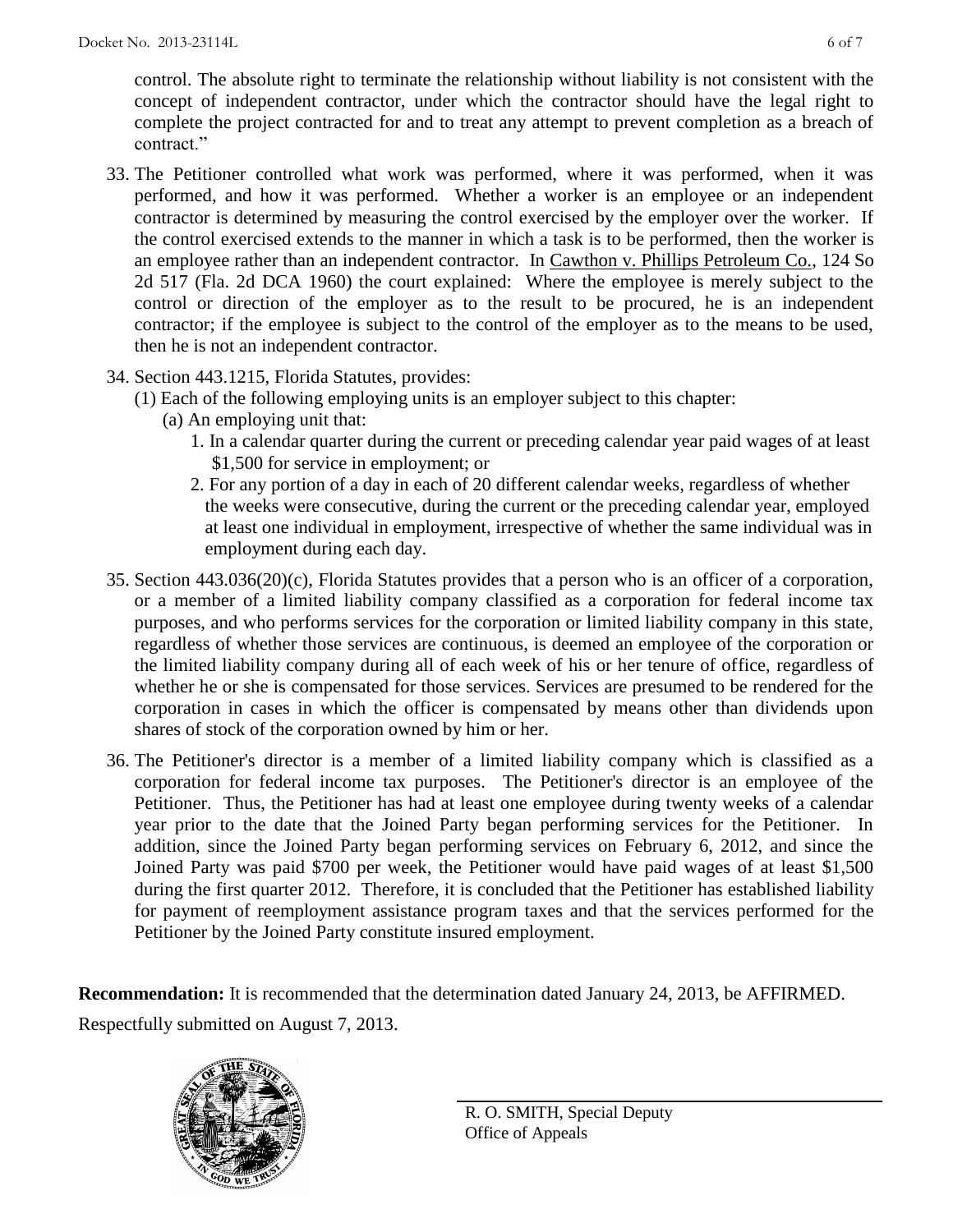control. The absolute right to terminate the relationship without liability is not consistent with the concept of independent contractor, under which the contractor should have the legal right to complete the project contracted for and to treat any attempt to prevent completion as a breach of contract."

- 33. The Petitioner controlled what work was performed, where it was performed, when it was performed, and how it was performed. Whether a worker is an employee or an independent contractor is determined by measuring the control exercised by the employer over the worker. If the control exercised extends to the manner in which a task is to be performed, then the worker is an employee rather than an independent contractor. In Cawthon v. Phillips Petroleum Co., 124 So 2d 517 (Fla. 2d DCA 1960) the court explained: Where the employee is merely subject to the control or direction of the employer as to the result to be procured, he is an independent contractor; if the employee is subject to the control of the employer as to the means to be used, then he is not an independent contractor.
- 34. Section 443.1215, Florida Statutes, provides:
	- (1) Each of the following employing units is an employer subject to this chapter:
		- (a) An employing unit that:
			- 1. In a calendar quarter during the current or preceding calendar year paid wages of at least \$1,500 for service in employment; or
			- 2. For any portion of a day in each of 20 different calendar weeks, regardless of whether the weeks were consecutive, during the current or the preceding calendar year, employed at least one individual in employment, irrespective of whether the same individual was in employment during each day.
- 35. Section 443.036(20)(c), Florida Statutes provides that a person who is an officer of a corporation, or a member of a limited liability company classified as a corporation for federal income tax purposes, and who performs services for the corporation or limited liability company in this state, regardless of whether those services are continuous, is deemed an employee of the corporation or the limited liability company during all of each week of his or her tenure of office, regardless of whether he or she is compensated for those services. Services are presumed to be rendered for the corporation in cases in which the officer is compensated by means other than dividends upon shares of stock of the corporation owned by him or her.
- 36. The Petitioner's director is a member of a limited liability company which is classified as a corporation for federal income tax purposes. The Petitioner's director is an employee of the Petitioner. Thus, the Petitioner has had at least one employee during twenty weeks of a calendar year prior to the date that the Joined Party began performing services for the Petitioner. In addition, since the Joined Party began performing services on February 6, 2012, and since the Joined Party was paid \$700 per week, the Petitioner would have paid wages of at least \$1,500 during the first quarter 2012. Therefore, it is concluded that the Petitioner has established liability for payment of reemployment assistance program taxes and that the services performed for the Petitioner by the Joined Party constitute insured employment.

**Recommendation:** It is recommended that the determination dated January 24, 2013, be AFFIRMED. Respectfully submitted on August 7, 2013.